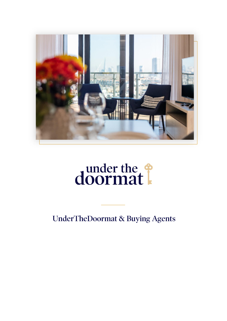

# doormat

**UnderTheDoormat & Buying Agents**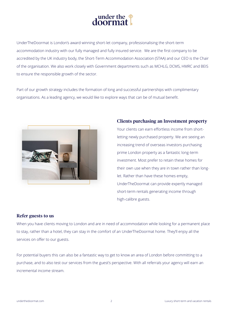

UnderTheDoormat is London's award winning short-let company, professionalising the short-term accommodation industry with our fully managed and fully insured service. We are the first company to be accredited by the UK industry body, the Short-Term Accommodation Association (STAA) and our CEO is the Chair of the organisation. We also work closely with Government departments such as MCHLG, DCMS, HMRC and BEIS to ensure the responsible growth of the sector.

Part of our growth strategy includes the formation of long and successful partnerships with complimentary organisations. As a leading agency, we would like to explore ways that can be of mutual benefit.



### **Clients purchasing an Investment property**

Your clients can earn effortless income from shortletting newly purchased property. We are seeing an increasing trend of overseas investors purchasing prime London property as a fantastic long-term investment. Most prefer to retain these homes for their own use when they are in town rather than longlet. Rather than have these homes empty, UnderTheDoormat can provide expertly managed short-term rentals generating income through high-calibre guests.

### Refer guests to us

When you have clients moving to London and are in need of accommodation while looking for a permanent place to stay, rather than a hotel, they can stay in the comfort of an UnderTheDoormat home. They'll enjoy all the services on offer to our guests.

For potential buyers this can also be a fantastic way to get to know an area of London before committing to a purchase, and to also test our services from the guest's perspective. With all referrals your agency will earn an incremental income stream.